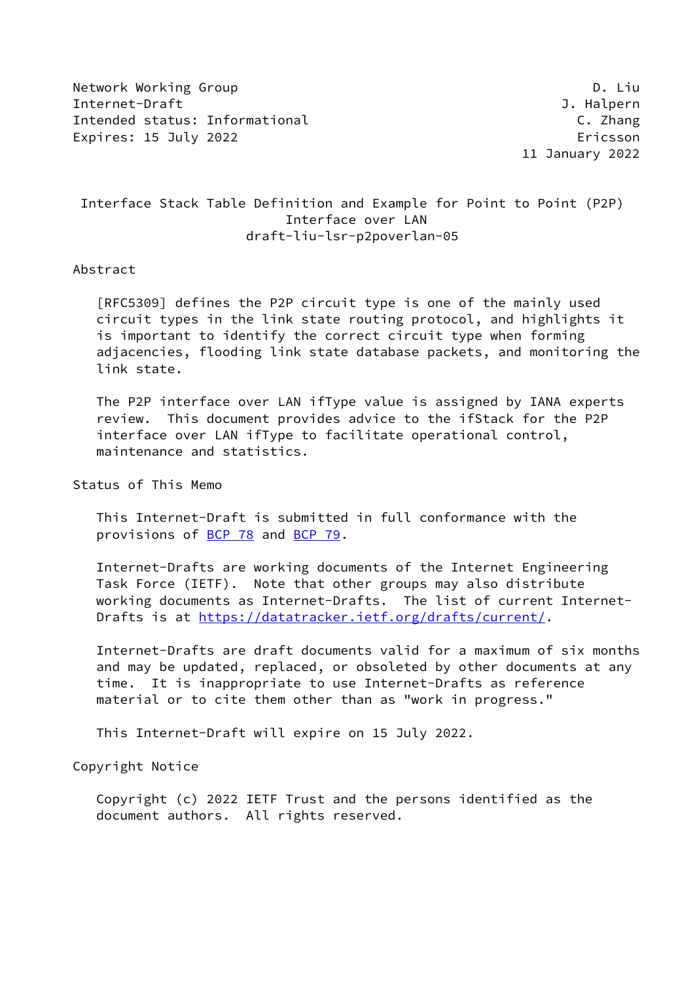Network Working Group **D. Limits and Struck** D. Liu Internet-Draft J. Halpern Intended status: Informational C. Zhang Expires: 15 July 2022 **Expires: 15 July 2022** 

11 January 2022

# Interface Stack Table Definition and Example for Point to Point (P2P) Interface over LAN draft-liu-lsr-p2poverlan-05

### Abstract

 [RFC5309] defines the P2P circuit type is one of the mainly used circuit types in the link state routing protocol, and highlights it is important to identify the correct circuit type when forming adjacencies, flooding link state database packets, and monitoring the link state.

 The P2P interface over LAN ifType value is assigned by IANA experts review. This document provides advice to the ifStack for the P2P interface over LAN ifType to facilitate operational control, maintenance and statistics.

# Status of This Memo

 This Internet-Draft is submitted in full conformance with the provisions of [BCP 78](https://datatracker.ietf.org/doc/pdf/bcp78) and [BCP 79](https://datatracker.ietf.org/doc/pdf/bcp79).

 Internet-Drafts are working documents of the Internet Engineering Task Force (IETF). Note that other groups may also distribute working documents as Internet-Drafts. The list of current Internet- Drafts is at<https://datatracker.ietf.org/drafts/current/>.

 Internet-Drafts are draft documents valid for a maximum of six months and may be updated, replaced, or obsoleted by other documents at any time. It is inappropriate to use Internet-Drafts as reference material or to cite them other than as "work in progress."

This Internet-Draft will expire on 15 July 2022.

Copyright Notice

 Copyright (c) 2022 IETF Trust and the persons identified as the document authors. All rights reserved.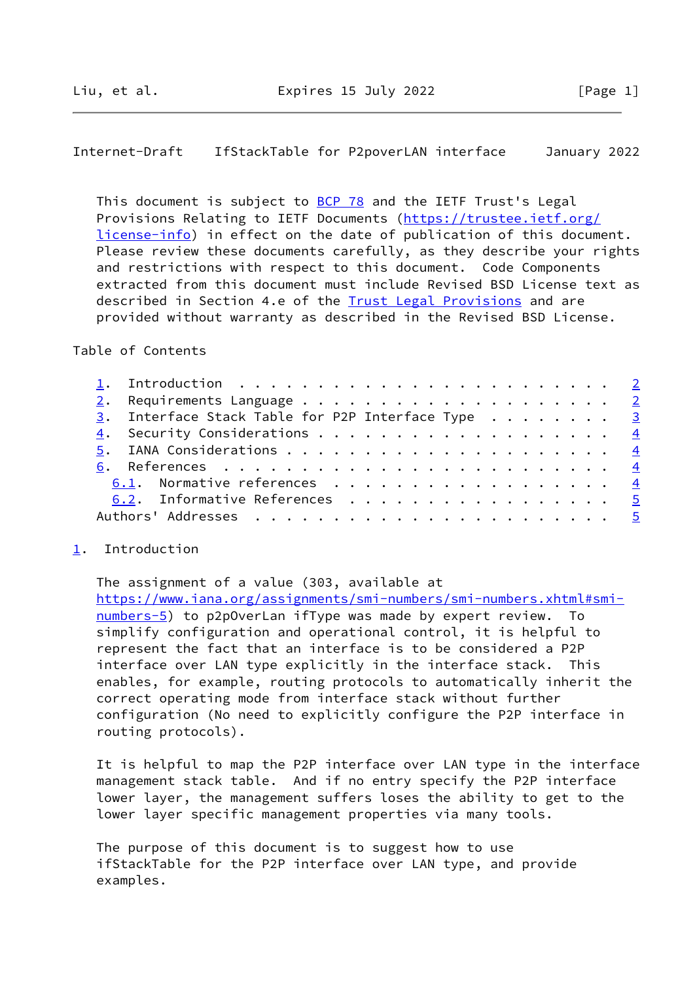### <span id="page-1-1"></span>Internet-Draft IfStackTable for P2poverLAN interface January 2022

This document is subject to [BCP 78](https://datatracker.ietf.org/doc/pdf/bcp78) and the IETF Trust's Legal Provisions Relating to IETF Documents ([https://trustee.ietf.org/](https://trustee.ietf.org/license-info) [license-info](https://trustee.ietf.org/license-info)) in effect on the date of publication of this document. Please review these documents carefully, as they describe your rights and restrictions with respect to this document. Code Components extracted from this document must include Revised BSD License text as described in Section 4.e of the **Trust Legal Provisions** and are provided without warranty as described in the Revised BSD License.

### Table of Contents

|  | 3. Interface Stack Table for P2P Interface Type 3 |  |
|--|---------------------------------------------------|--|
|  | 4. Security Considerations 4                      |  |
|  |                                                   |  |
|  |                                                   |  |
|  | 6.1. Normative references 4                       |  |
|  | 6.2. Informative References 5                     |  |
|  |                                                   |  |
|  |                                                   |  |

#### <span id="page-1-0"></span>[1](#page-1-0). Introduction

The assignment of a value (303, available at

 [https://www.iana.org/assignments/smi-numbers/smi-numbers.xhtml#smi](https://www.iana.org/assignments/smi-numbers/smi-numbers.xhtml#smi-numbers-5) [numbers-5](https://www.iana.org/assignments/smi-numbers/smi-numbers.xhtml#smi-numbers-5)) to p2p0verLan ifType was made by expert review. To simplify configuration and operational control, it is helpful to represent the fact that an interface is to be considered a P2P interface over LAN type explicitly in the interface stack. This enables, for example, routing protocols to automatically inherit the correct operating mode from interface stack without further configuration (No need to explicitly configure the P2P interface in routing protocols).

 It is helpful to map the P2P interface over LAN type in the interface management stack table. And if no entry specify the P2P interface lower layer, the management suffers loses the ability to get to the lower layer specific management properties via many tools.

 The purpose of this document is to suggest how to use ifStackTable for the P2P interface over LAN type, and provide examples.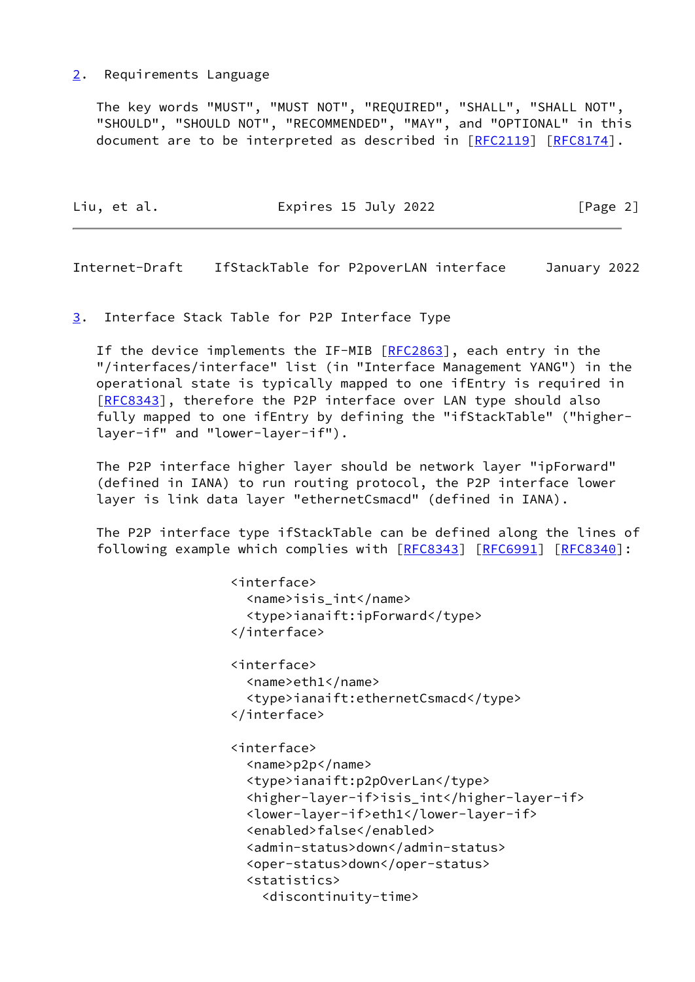### <span id="page-2-0"></span>[2](#page-2-0). Requirements Language

 The key words "MUST", "MUST NOT", "REQUIRED", "SHALL", "SHALL NOT", "SHOULD", "SHOULD NOT", "RECOMMENDED", "MAY", and "OPTIONAL" in this document are to be interpreted as described in [\[RFC2119](https://datatracker.ietf.org/doc/pdf/rfc2119)] [\[RFC8174](https://datatracker.ietf.org/doc/pdf/rfc8174)].

| Liu, et al. | Expires 15 July 2022 | [Page 2] |
|-------------|----------------------|----------|
|             |                      |          |

<span id="page-2-2"></span>Internet-Draft IfStackTable for P2poverLAN interface January 2022

### <span id="page-2-1"></span>[3](#page-2-1). Interface Stack Table for P2P Interface Type

If the device implements the IF-MIB [\[RFC2863](https://datatracker.ietf.org/doc/pdf/rfc2863)], each entry in the "/interfaces/interface" list (in "Interface Management YANG") in the operational state is typically mapped to one ifEntry is required in [\[RFC8343](https://datatracker.ietf.org/doc/pdf/rfc8343)], therefore the P2P interface over LAN type should also fully mapped to one ifEntry by defining the "ifStackTable" ("higher layer-if" and "lower-layer-if").

 The P2P interface higher layer should be network layer "ipForward" (defined in IANA) to run routing protocol, the P2P interface lower layer is link data layer "ethernetCsmacd" (defined in IANA).

 The P2P interface type ifStackTable can be defined along the lines of following example which complies with [[RFC8343](https://datatracker.ietf.org/doc/pdf/rfc8343)] [\[RFC6991](https://datatracker.ietf.org/doc/pdf/rfc6991)] [[RFC8340](https://datatracker.ietf.org/doc/pdf/rfc8340)]:

```
 <interface>
  <name>isis_int</name>
  <type>ianaift:ipForward</type>
</interface>
<interface>
  <name>eth1</name>
  <type>ianaift:ethernetCsmacd</type>
</interface>
<interface>
  <name>p2p</name>
  <type>ianaift:p2pOverLan</type>
  <higher-layer-if>isis_int</higher-layer-if>
  <lower-layer-if>eth1</lower-layer-if>
  <enabled>false</enabled>
  <admin-status>down</admin-status>
  <oper-status>down</oper-status>
  <statistics>
    <discontinuity-time>
```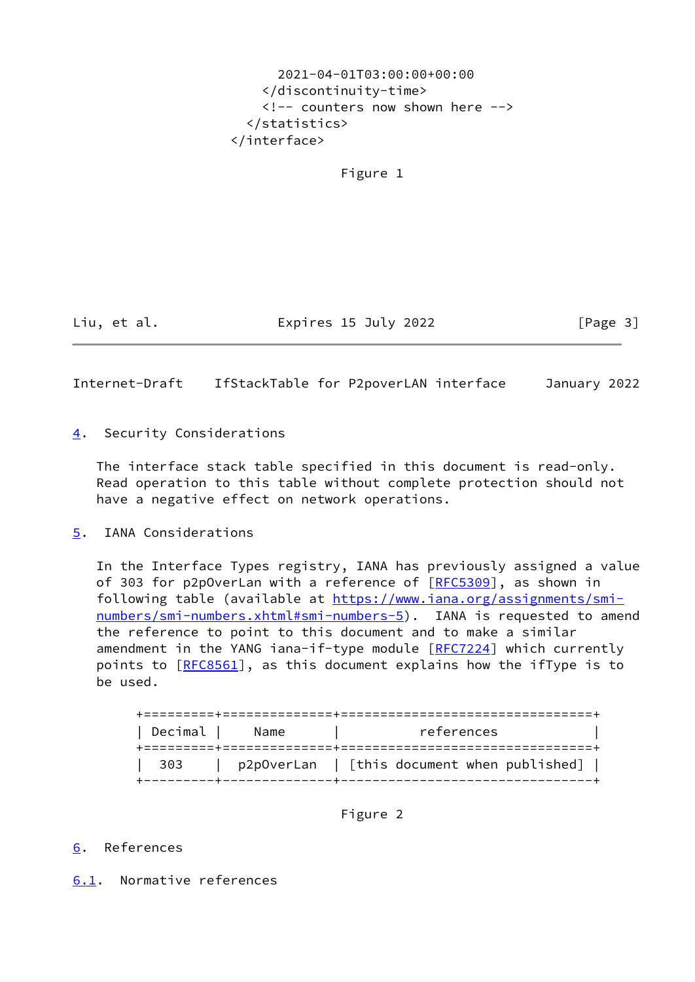2021-04-01T03:00:00+00:00 </discontinuity-time> <!-- counters now shown here --> </statistics> </interface>

Figure 1

Liu, et al. Expires 15 July 2022 [Page 3]

<span id="page-3-1"></span>Internet-Draft IfStackTable for P2poverLAN interface January 2022

<span id="page-3-0"></span>[4](#page-3-0). Security Considerations

 The interface stack table specified in this document is read-only. Read operation to this table without complete protection should not have a negative effect on network operations.

<span id="page-3-2"></span>[5](#page-3-2). IANA Considerations

 In the Interface Types registry, IANA has previously assigned a value of 303 for p2pOverLan with a reference of [[RFC5309](https://datatracker.ietf.org/doc/pdf/rfc5309)], as shown in following table (available at [https://www.iana.org/assignments/smi](https://www.iana.org/assignments/smi-numbers/smi-numbers.xhtml#smi-numbers-5) [numbers/smi-numbers.xhtml#smi-numbers-5](https://www.iana.org/assignments/smi-numbers/smi-numbers.xhtml#smi-numbers-5)). IANA is requested to amend the reference to point to this document and to make a similar amendment in the YANG iana-if-type module [[RFC7224](https://datatracker.ietf.org/doc/pdf/rfc7224)] which currently points to  $[REC8561]$ , as this document explains how the ifType is to be used.

| Decimal | Name | references                                  |
|---------|------|---------------------------------------------|
| 303     |      | p2p0verLan   [this document when published] |

Figure 2

# <span id="page-3-3"></span>[6](#page-3-3). References

<span id="page-3-4"></span>[6.1](#page-3-4). Normative references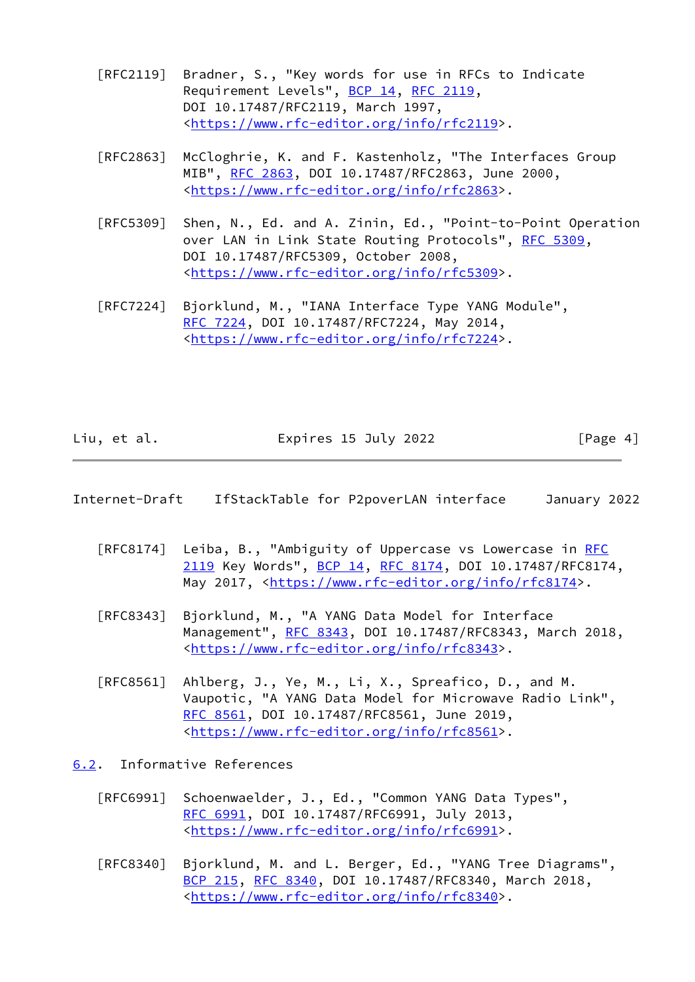- [RFC2119] Bradner, S., "Key words for use in RFCs to Indicate Requirement Levels", [BCP 14](https://datatracker.ietf.org/doc/pdf/bcp14), [RFC 2119](https://datatracker.ietf.org/doc/pdf/rfc2119), DOI 10.17487/RFC2119, March 1997, <[https://www.rfc-editor.org/info/rfc2119>](https://www.rfc-editor.org/info/rfc2119).
- [RFC2863] McCloghrie, K. and F. Kastenholz, "The Interfaces Group MIB", [RFC 2863](https://datatracker.ietf.org/doc/pdf/rfc2863), DOI 10.17487/RFC2863, June 2000, <[https://www.rfc-editor.org/info/rfc2863>](https://www.rfc-editor.org/info/rfc2863).
- [RFC5309] Shen, N., Ed. and A. Zinin, Ed., "Point-to-Point Operation over LAN in Link State Routing Protocols", [RFC 5309](https://datatracker.ietf.org/doc/pdf/rfc5309), DOI 10.17487/RFC5309, October 2008, <[https://www.rfc-editor.org/info/rfc5309>](https://www.rfc-editor.org/info/rfc5309).
- [RFC7224] Bjorklund, M., "IANA Interface Type YANG Module", [RFC 7224,](https://datatracker.ietf.org/doc/pdf/rfc7224) DOI 10.17487/RFC7224, May 2014, <[https://www.rfc-editor.org/info/rfc7224>](https://www.rfc-editor.org/info/rfc7224).

| Liu, et al. | Expires 15 July 2022 | [Page 4] |
|-------------|----------------------|----------|
|             |                      |          |

#### <span id="page-4-1"></span>Internet-Draft IfStackTable for P2poverLAN interface January 2022

- [RFC8174] Leiba, B., "Ambiguity of Uppercase vs Lowercase in [RFC](https://datatracker.ietf.org/doc/pdf/rfc2119) [2119](https://datatracker.ietf.org/doc/pdf/rfc2119) Key Words", [BCP 14](https://datatracker.ietf.org/doc/pdf/bcp14), [RFC 8174,](https://datatracker.ietf.org/doc/pdf/rfc8174) DOI 10.17487/RFC8174, May 2017, [<https://www.rfc-editor.org/info/rfc8174](https://www.rfc-editor.org/info/rfc8174)>.
- [RFC8343] Bjorklund, M., "A YANG Data Model for Interface Management", [RFC 8343](https://datatracker.ietf.org/doc/pdf/rfc8343), DOI 10.17487/RFC8343, March 2018, <[https://www.rfc-editor.org/info/rfc8343>](https://www.rfc-editor.org/info/rfc8343).
- [RFC8561] Ahlberg, J., Ye, M., Li, X., Spreafico, D., and M. Vaupotic, "A YANG Data Model for Microwave Radio Link", [RFC 8561,](https://datatracker.ietf.org/doc/pdf/rfc8561) DOI 10.17487/RFC8561, June 2019, <[https://www.rfc-editor.org/info/rfc8561>](https://www.rfc-editor.org/info/rfc8561).

<span id="page-4-0"></span>[6.2](#page-4-0). Informative References

- [RFC6991] Schoenwaelder, J., Ed., "Common YANG Data Types", [RFC 6991,](https://datatracker.ietf.org/doc/pdf/rfc6991) DOI 10.17487/RFC6991, July 2013, <[https://www.rfc-editor.org/info/rfc6991>](https://www.rfc-editor.org/info/rfc6991).
- [RFC8340] Bjorklund, M. and L. Berger, Ed., "YANG Tree Diagrams", [BCP 215](https://datatracker.ietf.org/doc/pdf/bcp215), [RFC 8340,](https://datatracker.ietf.org/doc/pdf/rfc8340) DOI 10.17487/RFC8340, March 2018, <[https://www.rfc-editor.org/info/rfc8340>](https://www.rfc-editor.org/info/rfc8340).